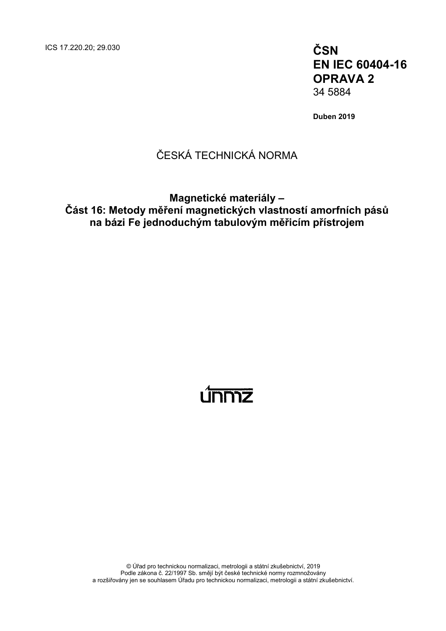ICS 17.220.20; 29.030 **ČSN**

**EN IEC 60404-16 OPRAVA 2** 34 5884

**Duben 2019**

### ČESKÁ TECHNICKÁ NORMA

**Magnetické materiály – Část 16: Metody měření magnetických vlastností amorfních pásů na bázi Fe jednoduchým tabulovým měřicím přístrojem**

# <u>únniz</u>

© Úřad pro technickou normalizaci, metrologii a státní zkušebnictví, 2019 Podle zákona č. 22/1997 Sb. smějí být české technické normy rozmnožovány a rozšiřovány jen se souhlasem Úřadu pro technickou normalizaci, metrologii a státní zkušebnictví.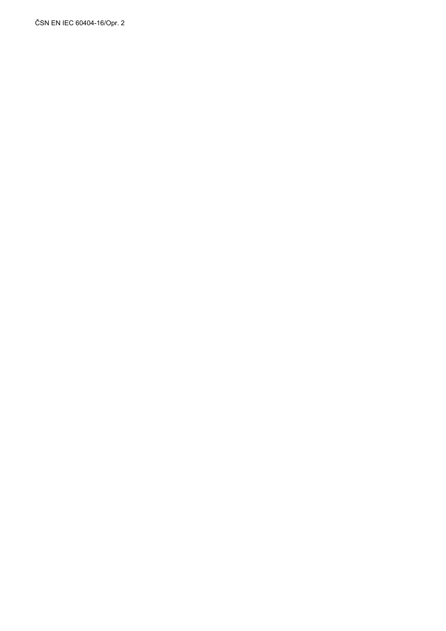ČSN EN IEC 60404-16/Opr. 2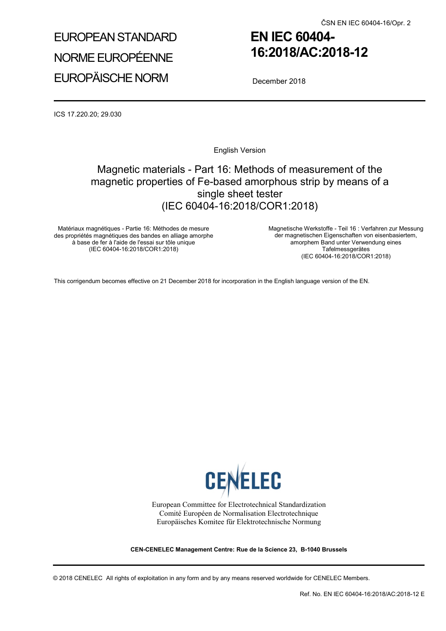# EUROPEAN STANDARD NORME EUROPÉENNE EUROPÄISCHE NORM

## **EN IEC 60404- 16:2018/AC:2018-12**

December 2018

ICS 17.220.20; 29.030

English Version

### Magnetic materials - Part 16: Methods of measurement of the magnetic properties of Fe-based amorphous strip by means of a single sheet tester (IEC 60404-16:2018/COR1:2018)

Matériaux magnétiques - Partie 16: Méthodes de mesure des propriétés magnétiques des bandes en alliage amorphe à base de fer à l'aide de l'essai sur tôle unique (IEC 60404-16:2018/COR1:2018)

 Magnetische Werkstoffe - Teil 16 : Verfahren zur Messung der magnetischen Eigenschaften von eisenbasiertem, amorphem Band unter Verwendung eines Tafelmessgerätes (IEC 60404-16:2018/COR1:2018)

This corrigendum becomes effective on 21 December 2018 for incorporation in the English language version of the EN.



European Committee for Electrotechnical Standardization Comité Européen de Normalisation Electrotechnique Europäisches Komitee für Elektrotechnische Normung

**CEN-CENELEC Management Centre: Rue de la Science 23, B-1040 Brussels** 

© 2018 CENELEC All rights of exploitation in any form and by any means reserved worldwide for CENELEC Members.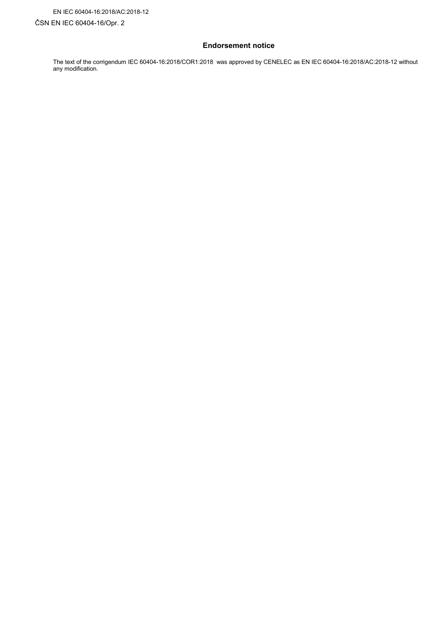EN IEC 60404-16:2018/AC:2018-12

ČSN EN IEC 60404-16/Opr. 2

#### **Endorsement notice**

The text of the corrigendum IEC 60404-16:2018/COR1:2018 was approved by CENELEC as EN IEC 60404-16:2018/AC:2018-12 without any modification.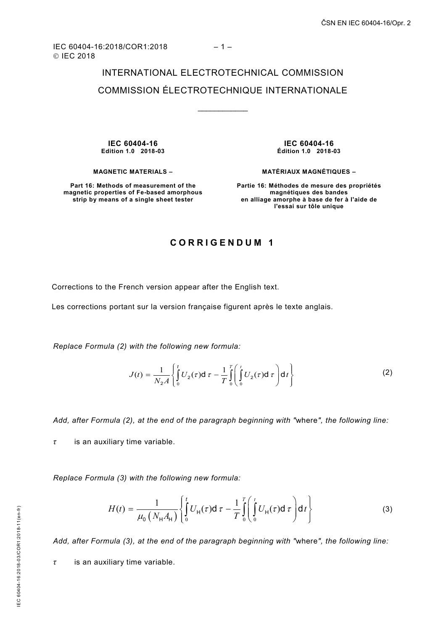IEC 60404-16:2018/COR1:2018 – 1 – © IEC 2018

### INTERNATIONAL ELECTROTECHNICAL COMMISSION COMMISSION ÉLECTROTECHNIQUE INTERNATIONALE

\_\_\_\_\_\_\_\_\_\_\_\_

**IEC 60404-16 Edition 1.0 2018-03**

**MAGNETIC MATERIALS –** 

**Part 16: Methods of measurement of the magnetic properties of Fe-based amorphous strip by means of a single sheet tester**

**IEC 60404-16 Édition 1.0 2018-03**

**MATÉRIAUX MAGNÉTIQUES –** 

**Partie 16: Méthodes de mesure des propriétés magnétiques des bandes en alliage amorphe à base de fer à l'aide de l'essai sur tôle unique**

#### **CORRIGENDUM 1**

Corrections to the French version appear after the English text.

Les corrections portant sur la version française figurent après le texte anglais.

*Replace Formula (2) with the following new formula:*

$$
J(t) = \frac{1}{N_2 A} \left\{ \int_0^t U_2(\tau) d\tau - \frac{1}{T} \int_0^T \left( \int_0^t U_2(\tau) d\tau \right) dt \right\}
$$
 (2)

*Add, after Formula (2), at the end of the paragraph beginning with "*where*", the following line:*

*τ* is an auxiliary time variable.

*Replace Formula (3) with the following new formula:*

$$
H(t) = \frac{1}{\mu_0 \left( N_{\rm H} A_{\rm H} \right)} \left\{ \int_0^t U_{\rm H}(\tau) d\tau - \frac{1}{T} \int_0^T \left( \int_0^t U_{\rm H}(\tau) d\tau \right) dt \right\}
$$
(3)

*Add, after Formula (3), at the end of the paragraph beginning with "*where*", the following line:*

*τ* is an auxiliary time variable.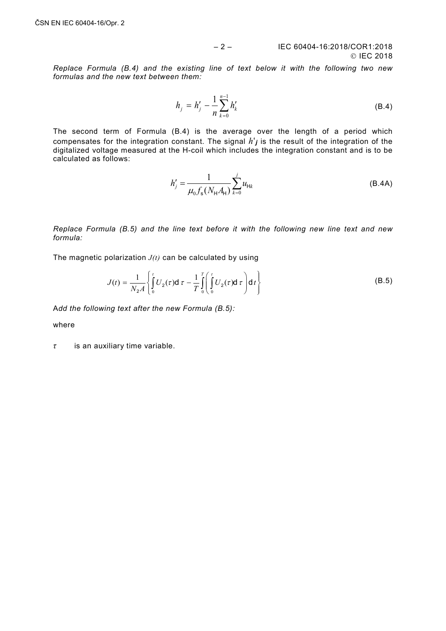*Replace Formula (B.4) and the existing line of text below it with the following two new formulas and the new text between them:*

$$
h_j = h'_j - \frac{1}{n} \sum_{k=0}^{n-1} h'_k
$$
 (B.4)

The second term of Formula (B.4) is the average over the length of a period which compensates for the integration constant. The signal *h*'*<sup>j</sup>* is the result of the integration of the digitalized voltage measured at the H-coil which includes the integration constant and is to be calculated as follows:

$$
h'_{j} = \frac{1}{\mu_{0} f_{s} (N_{H} A_{H})} \sum_{k=0}^{j} u_{Hk}
$$
 (B.4A)

*Replace Formula (B.5) and the line text before it with the following new line text and new formula:*

The magnetic polarization *J(t)* can be calculated by using

$$
J(t) = \frac{1}{N_2 A} \left\{ \int_0^t U_2(\tau) d\tau - \frac{1}{T} \int_0^T \left( \int_0^t U_2(\tau) d\tau \right) dt \right\}
$$
(B.5)

A*dd the following text after the new Formula (B.5):*

where

*τ* is an auxiliary time variable.